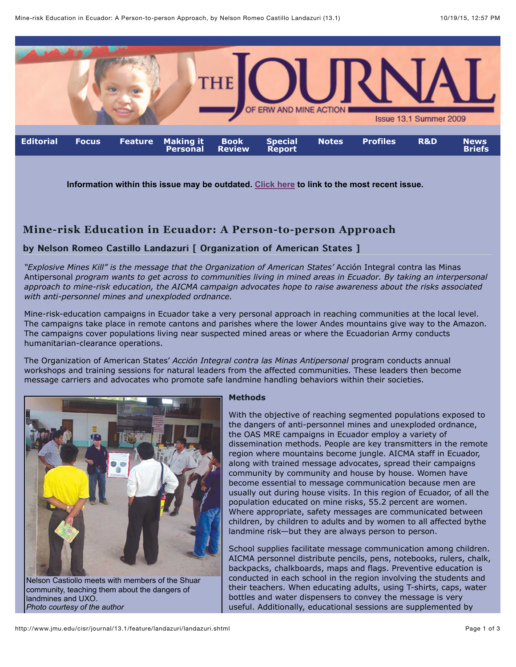

**Information within this issue may be outdated. [Click here](http://www.jmu.edu/cisr/journal/current.shtml) to link to the most recent issue.**

# **Mine-risk Education in Ecuador: A Person-to-person Approach**

# by Nelson Romeo Castillo Landazuri [ Organization of American States ]

*"Explosive Mines Kill" is the message that the Organization of American States'* Acción Integral contra las Minas Antipersonal *program wants to get across to communities living in mined areas in Ecuador. By taking an interpersonal approach to mine-risk education, the AICMA campaign advocates hope to raise awareness about the risks associated with anti-personnel mines and unexploded ordnance.*

Mine-risk-education campaigns in Ecuador take a very personal approach in reaching communities at the local level. The campaigns take place in remote cantons and parishes where the lower Andes mountains give way to the Amazon. The campaigns cover populations living near suspected mined areas or where the Ecuadorian Army conducts humanitarian-clearance operations.

The Organization of American States' *Acción Integral contra las Minas Antipersonal* program conducts annual workshops and training sessions for natural leaders from the affected communities. These leaders then become message carriers and advocates who promote safe landmine handling behaviors within their societies.



#### **Methods**

With the objective of reaching segmented populations exposed to the dangers of anti-personnel mines and unexploded ordnance, the OAS MRE campaigns in Ecuador employ a variety of dissemination methods. People are key transmitters in the remote region where mountains become jungle. AICMA staff in Ecuador, along with trained message advocates, spread their campaigns community by community and house by house. Women have become essential to message communication because men are usually out during house visits. In this region of Ecuador, of all the population educated on mine risks, 55.2 percent are women. Where appropriate, safety messages are communicated between children, by children to adults and by women to all affected bythe landmine risk—but they are always person to person.

School supplies facilitate message communication among children. AICMA personnel distribute pencils, pens, notebooks, rulers, chalk, backpacks, chalkboards, maps and flags. Preventive education is conducted in each school in the region involving the students and their teachers. When educating adults, using T-shirts, caps, water bottles and water dispensers to convey the message is very useful. Additionally, educational sessions are supplemented by

*Photo courtesy of the author*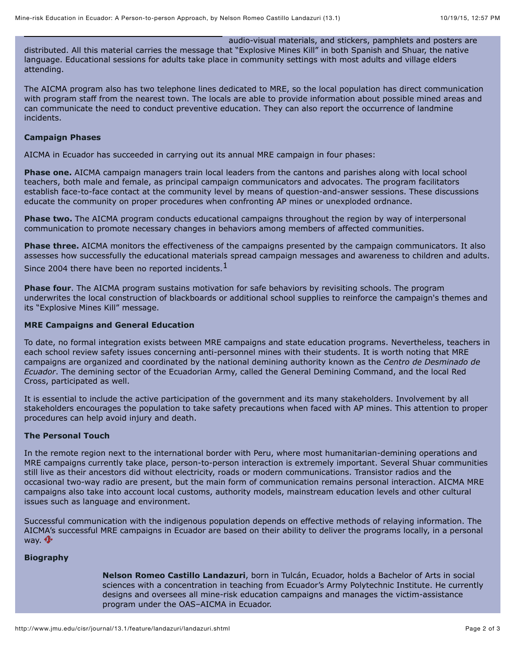audio-visual materials, and stickers, pamphlets and posters are

distributed. All this material carries the message that "Explosive Mines Kill" in both Spanish and Shuar, the native language. Educational sessions for adults take place in community settings with most adults and village elders attending.

The AICMA program also has two telephone lines dedicated to MRE, so the local population has direct communication with program staff from the nearest town. The locals are able to provide information about possible mined areas and can communicate the need to conduct preventive education. They can also report the occurrence of landmine incidents.

# **Campaign Phases**

AICMA in Ecuador has succeeded in carrying out its annual MRE campaign in four phases:

**Phase one.** AICMA campaign managers train local leaders from the cantons and parishes along with local school teachers, both male and female, as principal campaign communicators and advocates. The program facilitators establish face-to-face contact at the community level by means of question-and-answer sessions. These discussions educate the community on proper procedures when confronting AP mines or unexploded ordnance.

**Phase two.** The AICMA program conducts educational campaigns throughout the region by way of interpersonal communication to promote necessary changes in behaviors among members of affected communities.

**Phase three.** AICMA monitors the effectiveness of the campaigns presented by the campaign communicators. It also assesses how successfully the educational materials spread campaign messages and awareness to children and adults. Since 2004 there have been no reported incidents.<sup>1</sup>

**Phase four**. The AICMA program sustains motivation for safe behaviors by revisiting schools. The program underwrites the local construction of blackboards or additional school supplies to reinforce the campaign's themes and its "Explosive Mines Kill" message.

# **MRE Campaigns and General Education**

To date, no formal integration exists between MRE campaigns and state education programs. Nevertheless, teachers in each school review safety issues concerning anti-personnel mines with their students. It is worth noting that MRE campaigns are organized and coordinated by the national demining authority known as the *Centro de Desminado de Ecuador*. The demining sector of the Ecuadorian Army, called the General Demining Command, and the local Red Cross, participated as well.

It is essential to include the active participation of the government and its many stakeholders. Involvement by all stakeholders encourages the population to take safety precautions when faced with AP mines. This attention to proper procedures can help avoid injury and death.

# **The Personal Touch**

In the remote region next to the international border with Peru, where most humanitarian-demining operations and MRE campaigns currently take place, person-to-person interaction is extremely important. Several Shuar communities still live as their ancestors did without electricity, roads or modern communications. Transistor radios and the occasional two-way radio are present, but the main form of communication remains personal interaction. AICMA MRE campaigns also take into account local customs, authority models, mainstream education levels and other cultural issues such as language and environment.

Successful communication with the indigenous population depends on effective methods of relaying information. The AICMA's successful MRE campaigns in Ecuador are based on their ability to deliver the programs locally, in a personal way.  $\mathbf{\Phi}$ 

# **Biography**

**Nelson Romeo Castillo Landazuri**, born in Tulcán, Ecuador, holds a Bachelor of Arts in social sciences with a concentration in teaching from Ecuador's Army Polytechnic Institute. He currently designs and oversees all mine-risk education campaigns and manages the victim-assistance program under the OAS–AICMA in Ecuador.